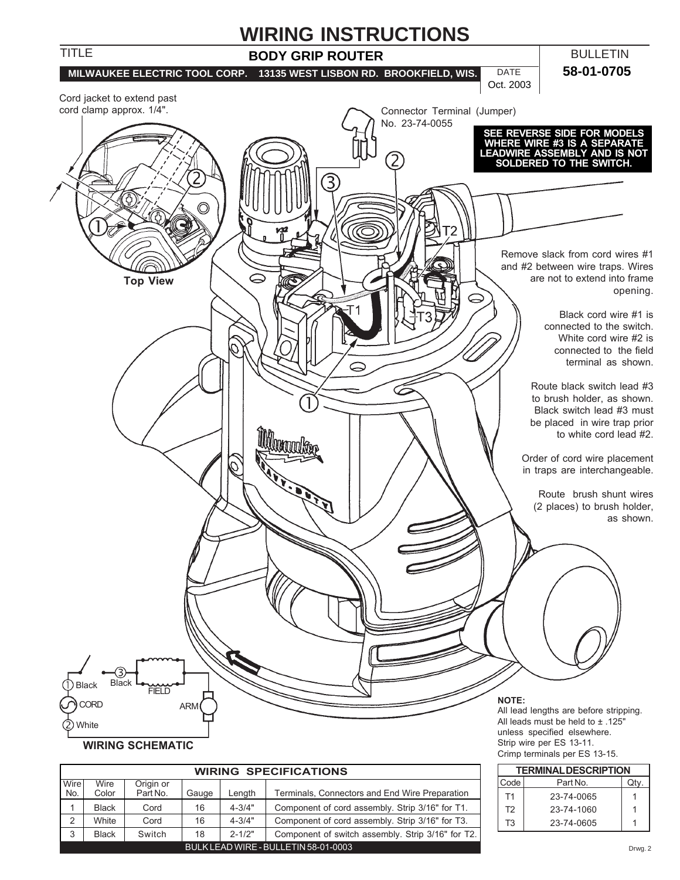

|      |              |           | <b>TERMINAL DESCRIPTION</b> |            |                                                   |                |            |      |
|------|--------------|-----------|-----------------------------|------------|---------------------------------------------------|----------------|------------|------|
| Wire | Wire         | Origin or |                             |            |                                                   | Code           | Part No.   | Qtv. |
| No.  | Color        | Part No.  | Gauge                       | Length     | Terminals, Connectors and End Wire Preparation    | T <sub>4</sub> | 23-74-0065 |      |
|      | <b>Black</b> | Cord      | 16                          | $4 - 3/4"$ | Component of cord assembly. Strip 3/16" for T1.   | T <sub>2</sub> | 23-74-1060 |      |
|      | White        | Cord      | 16                          | $4 - 3/4"$ | Component of cord assembly. Strip 3/16" for T3.   | T <sub>3</sub> | 23-74-0605 |      |
|      | <b>Black</b> | Switch    | 18                          | $2 - 1/2"$ | Component of switch assembly. Strip 3/16" for T2. |                |            |      |
|      |              |           |                             |            | Drwo                                              |                |            |      |

Drwg. 2